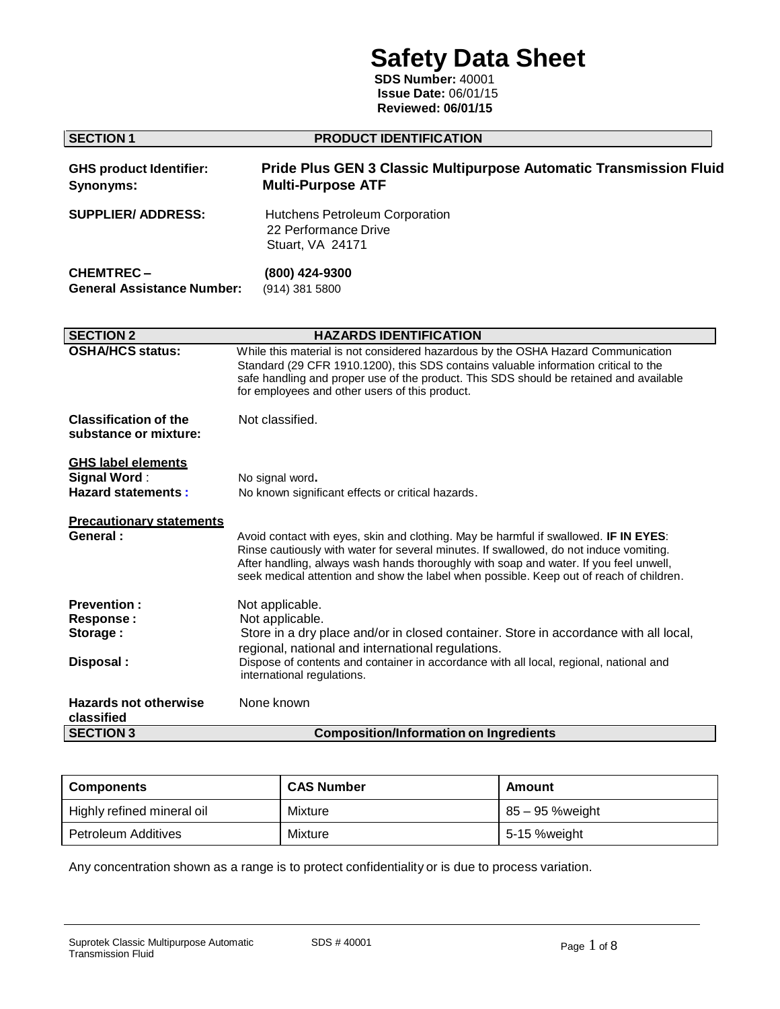# **Safety Data Sheet**

**SDS Number:** 40001 **Issue Date:** 06/01/15 **Reviewed: 06/01/15**

| <b>SECTION 1</b>                                                              | PRODUCT IDENTIFICATION                                                                                                                                                                                                                                                                                                                                             |
|-------------------------------------------------------------------------------|--------------------------------------------------------------------------------------------------------------------------------------------------------------------------------------------------------------------------------------------------------------------------------------------------------------------------------------------------------------------|
| <b>GHS product Identifier:</b><br>Synonyms:                                   | <b>Pride Plus GEN 3 Classic Multipurpose Automatic Transmission Fluid</b><br><b>Multi-Purpose ATF</b>                                                                                                                                                                                                                                                              |
| <b>SUPPLIER/ ADDRESS:</b>                                                     | Hutchens Petroleum Corporation<br>22 Performance Drive<br>Stuart, VA 24171                                                                                                                                                                                                                                                                                         |
| <b>CHEMTREC-</b><br><b>General Assistance Number:</b>                         | (800) 424-9300<br>(914) 381 5800                                                                                                                                                                                                                                                                                                                                   |
| <b>SECTION 2</b>                                                              | <b>HAZARDS IDENTIFICATION</b>                                                                                                                                                                                                                                                                                                                                      |
| <b>OSHA/HCS status:</b>                                                       | While this material is not considered hazardous by the OSHA Hazard Communication<br>Standard (29 CFR 1910.1200), this SDS contains valuable information critical to the<br>safe handling and proper use of the product. This SDS should be retained and available<br>for employees and other users of this product.                                                |
| <b>Classification of the</b><br>substance or mixture:                         | Not classified.                                                                                                                                                                                                                                                                                                                                                    |
| <b>GHS label elements</b><br><b>Signal Word:</b><br><b>Hazard statements:</b> | No signal word.<br>No known significant effects or critical hazards.                                                                                                                                                                                                                                                                                               |
| <b>Precautionary statements</b><br>General:                                   | Avoid contact with eyes, skin and clothing. May be harmful if swallowed. IF IN EYES:<br>Rinse cautiously with water for several minutes. If swallowed, do not induce vomiting.<br>After handling, always wash hands thoroughly with soap and water. If you feel unwell,<br>seek medical attention and show the label when possible. Keep out of reach of children. |
| <b>Prevention:</b><br>Response:<br>Storage:                                   | Not applicable.<br>Not applicable.<br>Store in a dry place and/or in closed container. Store in accordance with all local,<br>regional, national and international regulations.                                                                                                                                                                                    |
| Disposal:                                                                     | Dispose of contents and container in accordance with all local, regional, national and<br>international regulations.                                                                                                                                                                                                                                               |
| <b>Hazards not otherwise</b><br>classified                                    | None known                                                                                                                                                                                                                                                                                                                                                         |
| <b>SECTION 3</b>                                                              | <b>Composition/Information on Ingredients</b>                                                                                                                                                                                                                                                                                                                      |

| <b>Components</b>          | <b>CAS Number</b> | Amount          |
|----------------------------|-------------------|-----------------|
| Highly refined mineral oil | Mixture           | 85 – 95 %weight |
| Petroleum Additives        | Mixture           | 5-15 %weight    |

Any concentration shown as a range is to protect confidentiality or is due to process variation.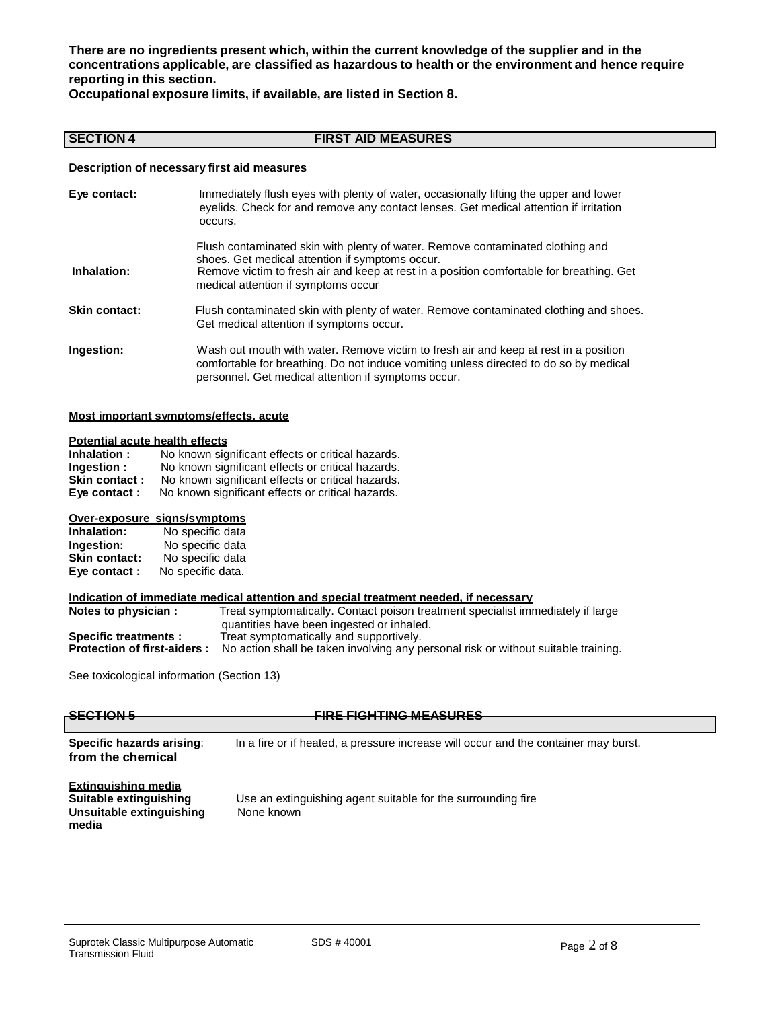**There are no ingredients present which, within the current knowledge of the supplier and in the concentrations applicable, are classified as hazardous to health or the environment and hence require reporting in this section.**

**Occupational exposure limits, if available, are listed in Section 8.**

## **SECTION 4 FIRST AID MEASURES**

### **Description of necessary first aid measures**

| Eye contact:         | Immediately flush eyes with plenty of water, occasionally lifting the upper and lower<br>eyelids. Check for and remove any contact lenses. Get medical attention if irritation<br>occurs.                                                                            |
|----------------------|----------------------------------------------------------------------------------------------------------------------------------------------------------------------------------------------------------------------------------------------------------------------|
| Inhalation:          | Flush contaminated skin with plenty of water. Remove contaminated clothing and<br>shoes. Get medical attention if symptoms occur.<br>Remove victim to fresh air and keep at rest in a position comfortable for breathing. Get<br>medical attention if symptoms occur |
| <b>Skin contact:</b> | Flush contaminated skin with plenty of water. Remove contaminated clothing and shoes.<br>Get medical attention if symptoms occur.                                                                                                                                    |
| Ingestion:           | Wash out mouth with water. Remove victim to fresh air and keep at rest in a position<br>comfortable for breathing. Do not induce vomiting unless directed to do so by medical<br>personnel. Get medical attention if symptoms occur.                                 |

#### **Most important symptoms/effects, acute**

## **Potential acute health effects**

| Inhalation:   | No known significant effects or critical hazards. |
|---------------|---------------------------------------------------|
| Ingestion:    | No known significant effects or critical hazards. |
| Skin contact: | No known significant effects or critical hazards. |
| Eye contact : | No known significant effects or critical hazards. |

## **Over-exposure signs/symptoms**

| Inhalation:          | No specific data  |
|----------------------|-------------------|
| Ingestion:           | No specific data  |
| <b>Skin contact:</b> | No specific data  |
| Eye contact:         | No specific data. |

#### **Indication of immediate medical attention and special treatment needed, if necessary**

| Notes to physician :               | Treat symptomatically. Contact poison treatment specialist immediately if large    |
|------------------------------------|------------------------------------------------------------------------------------|
|                                    | quantities have been ingested or inhaled.                                          |
| Specific treatments :              | Treat symptomatically and supportively.                                            |
| <b>Protection of first-aiders:</b> | No action shall be taken involving any personal risk or without suitable training. |

See toxicological information (Section 13)

| <b>CEPTION E</b>                                          |  |
|-----------------------------------------------------------|--|
| $\overline{\mathtt{v}}$ deviation $\overline{\mathtt{v}}$ |  |
|                                                           |  |

## **SECTION 5 FIRE FIGHTING MEASURES**

**Specific hazards arising**: In a fire or if heated, a pressure increase will occur and the container may burst. **from the chemical**

## **Extinguishing media Unsuitable extinguishing media**

Use an extinguishing agent suitable for the surrounding fire<br>None known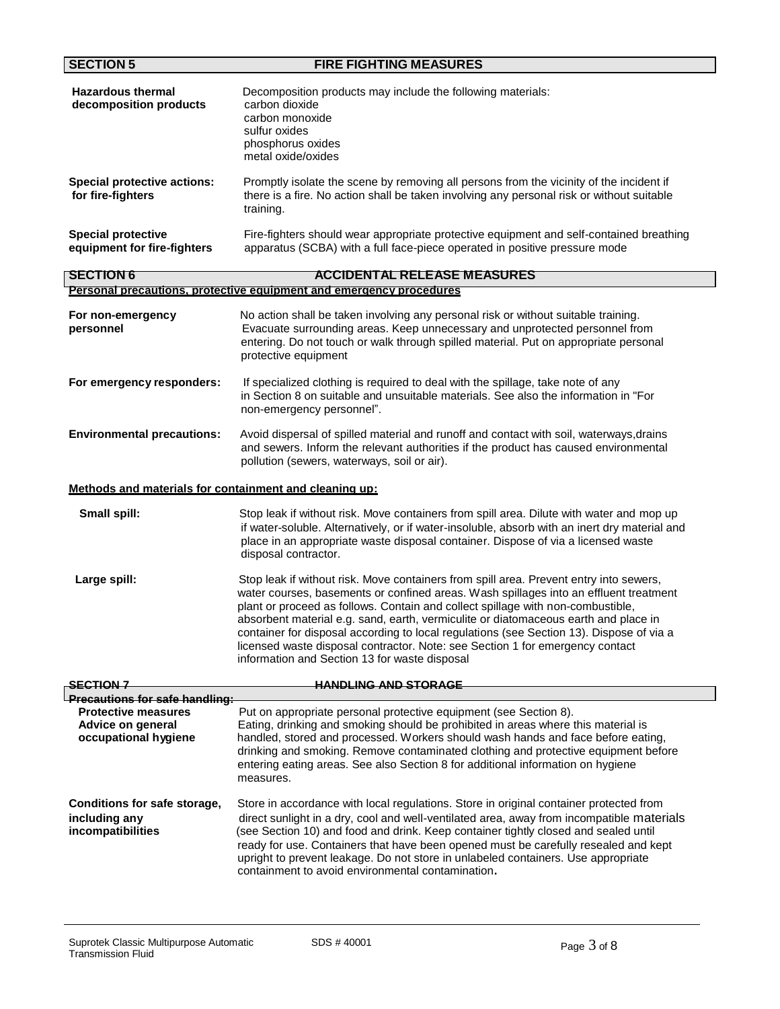| <b>SECTION 5</b>                                                        | <b>FIRE FIGHTING MEASURES</b>                                                                                                                                                                                                                                                                                                                                                                                                                                                                                                                                                           |
|-------------------------------------------------------------------------|-----------------------------------------------------------------------------------------------------------------------------------------------------------------------------------------------------------------------------------------------------------------------------------------------------------------------------------------------------------------------------------------------------------------------------------------------------------------------------------------------------------------------------------------------------------------------------------------|
| <b>Hazardous thermal</b><br>decomposition products                      | Decomposition products may include the following materials:<br>carbon dioxide<br>carbon monoxide<br>sulfur oxides<br>phosphorus oxides<br>metal oxide/oxides                                                                                                                                                                                                                                                                                                                                                                                                                            |
| <b>Special protective actions:</b><br>for fire-fighters                 | Promptly isolate the scene by removing all persons from the vicinity of the incident if<br>there is a fire. No action shall be taken involving any personal risk or without suitable<br>training.                                                                                                                                                                                                                                                                                                                                                                                       |
| <b>Special protective</b><br>equipment for fire-fighters                | Fire-fighters should wear appropriate protective equipment and self-contained breathing<br>apparatus (SCBA) with a full face-piece operated in positive pressure mode                                                                                                                                                                                                                                                                                                                                                                                                                   |
| <b>SECTION 6</b>                                                        | <b>ACCIDENTAL RELEASE MEASURES</b>                                                                                                                                                                                                                                                                                                                                                                                                                                                                                                                                                      |
|                                                                         | <u>Personal precautions, protective equipment and emergency procedures</u>                                                                                                                                                                                                                                                                                                                                                                                                                                                                                                              |
| For non-emergency<br>personnel                                          | No action shall be taken involving any personal risk or without suitable training.<br>Evacuate surrounding areas. Keep unnecessary and unprotected personnel from<br>entering. Do not touch or walk through spilled material. Put on appropriate personal<br>protective equipment                                                                                                                                                                                                                                                                                                       |
| For emergency responders:                                               | If specialized clothing is required to deal with the spillage, take note of any<br>in Section 8 on suitable and unsuitable materials. See also the information in "For<br>non-emergency personnel".                                                                                                                                                                                                                                                                                                                                                                                     |
| <b>Environmental precautions:</b>                                       | Avoid dispersal of spilled material and runoff and contact with soil, waterways, drains<br>and sewers. Inform the relevant authorities if the product has caused environmental<br>pollution (sewers, waterways, soil or air).                                                                                                                                                                                                                                                                                                                                                           |
| Methods and materials for containment and cleaning up:                  |                                                                                                                                                                                                                                                                                                                                                                                                                                                                                                                                                                                         |
| Small spill:                                                            | Stop leak if without risk. Move containers from spill area. Dilute with water and mop up<br>if water-soluble. Alternatively, or if water-insoluble, absorb with an inert dry material and<br>place in an appropriate waste disposal container. Dispose of via a licensed waste<br>disposal contractor.                                                                                                                                                                                                                                                                                  |
| Large spill:                                                            | Stop leak if without risk. Move containers from spill area. Prevent entry into sewers,<br>water courses, basements or confined areas. Wash spillages into an effluent treatment<br>plant or proceed as follows. Contain and collect spillage with non-combustible,<br>absorbent material e.g. sand, earth, vermiculite or diatomaceous earth and place in<br>container for disposal according to local regulations (see Section 13). Dispose of via a<br>licensed waste disposal contractor. Note: see Section 1 for emergency contact<br>information and Section 13 for waste disposal |
| <del>SECTION 7</del>                                                    | <b>HANDLING AND STORAGE</b>                                                                                                                                                                                                                                                                                                                                                                                                                                                                                                                                                             |
| <u>l Precautions for safe handling:</u>                                 |                                                                                                                                                                                                                                                                                                                                                                                                                                                                                                                                                                                         |
| <b>Protective measures</b><br>Advice on general<br>occupational hygiene | Put on appropriate personal protective equipment (see Section 8).<br>Eating, drinking and smoking should be prohibited in areas where this material is<br>handled, stored and processed. Workers should wash hands and face before eating,<br>drinking and smoking. Remove contaminated clothing and protective equipment before<br>entering eating areas. See also Section 8 for additional information on hygiene<br>measures.                                                                                                                                                        |
| Conditions for safe storage,<br>including any<br>incompatibilities      | Store in accordance with local regulations. Store in original container protected from<br>direct sunlight in a dry, cool and well-ventilated area, away from incompatible materials<br>(see Section 10) and food and drink. Keep container tightly closed and sealed until<br>ready for use. Containers that have been opened must be carefully resealed and kept<br>upright to prevent leakage. Do not store in unlabeled containers. Use appropriate<br>containment to avoid environmental contamination.                                                                             |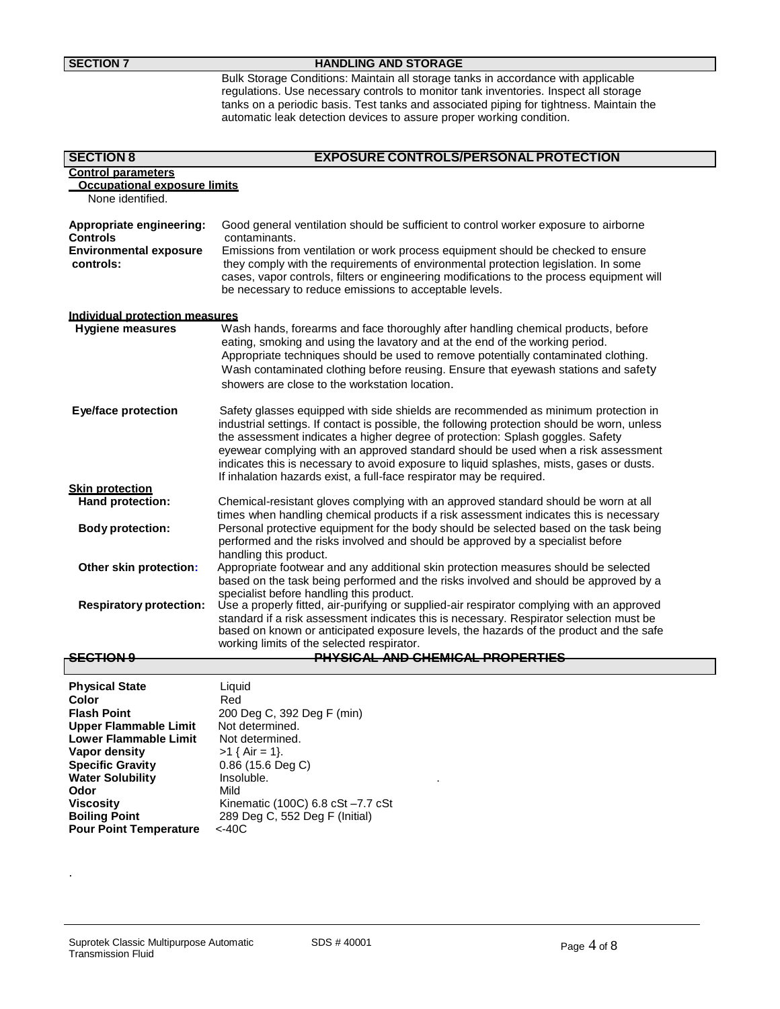## **SECTION 7 HANDLING** AND STORAGE

Bulk Storage Conditions: Maintain all storage tanks in accordance with applicable regulations. Use necessary controls to monitor tank inventories. Inspect all storage tanks on a periodic basis. Test tanks and associated piping for tightness. Maintain the automatic leak detection devices to assure proper working condition.

| <b>SECTION 8</b>                            | <b>EXPOSURE CONTROLS/PERSONAL PROTECTION</b>                                                                                                                                                                                                                                                                                                                                                                                                                                                                                  |
|---------------------------------------------|-------------------------------------------------------------------------------------------------------------------------------------------------------------------------------------------------------------------------------------------------------------------------------------------------------------------------------------------------------------------------------------------------------------------------------------------------------------------------------------------------------------------------------|
| <b>Control parameters</b>                   |                                                                                                                                                                                                                                                                                                                                                                                                                                                                                                                               |
| <b>Occupational exposure limits</b>         |                                                                                                                                                                                                                                                                                                                                                                                                                                                                                                                               |
| None identified.                            |                                                                                                                                                                                                                                                                                                                                                                                                                                                                                                                               |
| Appropriate engineering:<br><b>Controls</b> | Good general ventilation should be sufficient to control worker exposure to airborne<br>contaminants.                                                                                                                                                                                                                                                                                                                                                                                                                         |
| <b>Environmental exposure</b><br>controls:  | Emissions from ventilation or work process equipment should be checked to ensure<br>they comply with the requirements of environmental protection legislation. In some<br>cases, vapor controls, filters or engineering modifications to the process equipment will<br>be necessary to reduce emissions to acceptable levels.                                                                                                                                                                                                 |
| Individual protection measures              |                                                                                                                                                                                                                                                                                                                                                                                                                                                                                                                               |
| <b>Hygiene measures</b>                     | Wash hands, forearms and face thoroughly after handling chemical products, before<br>eating, smoking and using the lavatory and at the end of the working period.<br>Appropriate techniques should be used to remove potentially contaminated clothing.<br>Wash contaminated clothing before reusing. Ensure that eyewash stations and safety<br>showers are close to the workstation location.                                                                                                                               |
| <b>Eye/face protection</b>                  | Safety glasses equipped with side shields are recommended as minimum protection in<br>industrial settings. If contact is possible, the following protection should be worn, unless<br>the assessment indicates a higher degree of protection: Splash goggles. Safety<br>eyewear complying with an approved standard should be used when a risk assessment<br>indicates this is necessary to avoid exposure to liquid splashes, mists, gases or dusts.<br>If inhalation hazards exist, a full-face respirator may be required. |
| <b>Skin protection</b>                      |                                                                                                                                                                                                                                                                                                                                                                                                                                                                                                                               |
| Hand protection:                            | Chemical-resistant gloves complying with an approved standard should be worn at all                                                                                                                                                                                                                                                                                                                                                                                                                                           |
| <b>Body protection:</b>                     | times when handling chemical products if a risk assessment indicates this is necessary<br>Personal protective equipment for the body should be selected based on the task being<br>performed and the risks involved and should be approved by a specialist before                                                                                                                                                                                                                                                             |
| Other skin protection:                      | handling this product.<br>Appropriate footwear and any additional skin protection measures should be selected                                                                                                                                                                                                                                                                                                                                                                                                                 |
|                                             | based on the task being performed and the risks involved and should be approved by a<br>specialist before handling this product.                                                                                                                                                                                                                                                                                                                                                                                              |
| <b>Respiratory protection:</b>              | Use a properly fitted, air-purifying or supplied-air respirator complying with an approved                                                                                                                                                                                                                                                                                                                                                                                                                                    |
|                                             | standard if a risk assessment indicates this is necessary. Respirator selection must be                                                                                                                                                                                                                                                                                                                                                                                                                                       |
|                                             | based on known or anticipated exposure levels, the hazards of the product and the safe                                                                                                                                                                                                                                                                                                                                                                                                                                        |
|                                             | working limits of the selected respirator.                                                                                                                                                                                                                                                                                                                                                                                                                                                                                    |
| <del>SECTION 9</del>                        | <b>PHYSICAL AND CHEMICAL PROPERTIES</b>                                                                                                                                                                                                                                                                                                                                                                                                                                                                                       |

| <b>Physical State</b>         | Liquid                            |
|-------------------------------|-----------------------------------|
| Color                         | Red                               |
| <b>Flash Point</b>            | 200 Deg C, 392 Deg F (min)        |
| Upper Flammable Limit         | Not determined.                   |
| <b>Lower Flammable Limit</b>  | Not determined.                   |
| Vapor density                 | $>1$ { Air = 1}.                  |
| <b>Specific Gravity</b>       | $0.86$ (15.6 Deg C)               |
| <b>Water Solubility</b>       | Insoluble.                        |
| Odor                          | Mild                              |
| <b>Viscosity</b>              | Kinematic (100C) 6.8 cSt -7.7 cSt |
| <b>Boiling Point</b>          | 289 Deg C, 552 Deg F (Initial)    |
| <b>Pour Point Temperature</b> | $<$ -40C                          |

.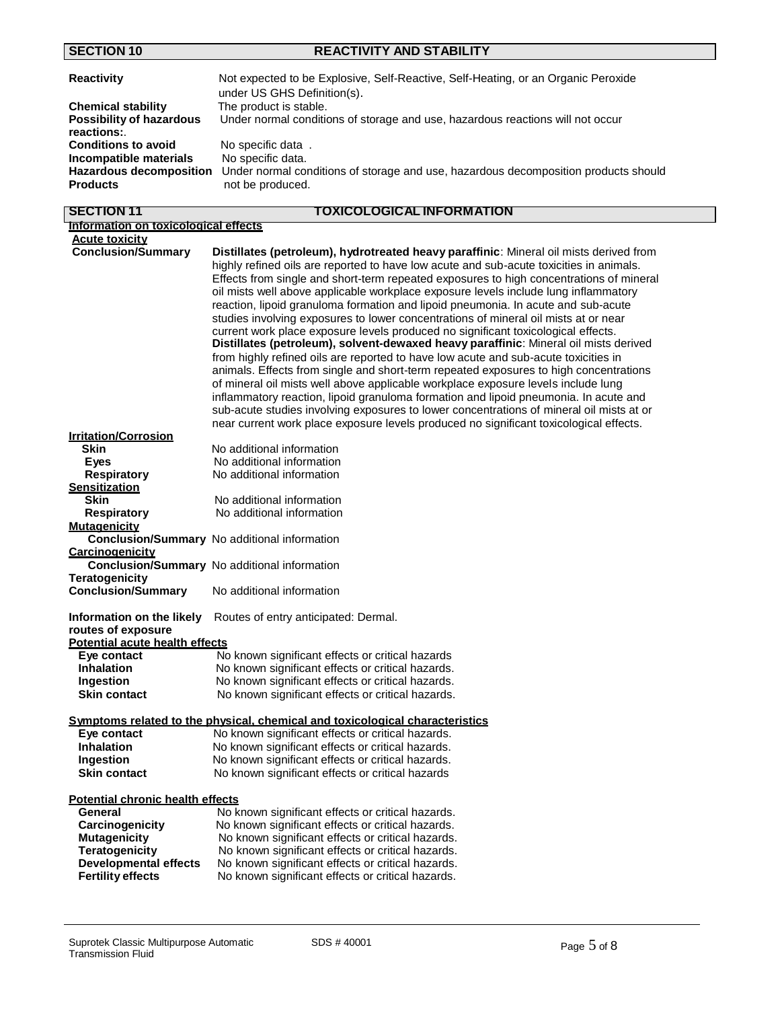**SECTION 10 REACTIVITY AND STABILITY**

| Reactivity                                                                  | Not expected to be Explosive, Self-Reactive, Self-Heating, or an Organic Peroxide<br>under US GHS Definition(s).             |
|-----------------------------------------------------------------------------|------------------------------------------------------------------------------------------------------------------------------|
| <b>Chemical stability</b>                                                   | The product is stable.                                                                                                       |
| <b>Possibility of hazardous</b><br>reactions:                               | Under normal conditions of storage and use, hazardous reactions will not occur                                               |
| <b>Conditions to avoid</b>                                                  | No specific data.                                                                                                            |
| Incompatible materials<br><b>Hazardous decomposition</b><br><b>Products</b> | No specific data.<br>Under normal conditions of storage and use, hazardous decomposition products should<br>not be produced. |

| <b>SECTION 11</b>                       | <u>TOXICOLOGICAL INFORMATION</u>                                                         |
|-----------------------------------------|------------------------------------------------------------------------------------------|
| Information on toxicological effects    |                                                                                          |
| <b>Acute toxicity</b>                   |                                                                                          |
| <b>Conclusion/Summary</b>               | Distillates (petroleum), hydrotreated heavy paraffinic: Mineral oil mists derived from   |
|                                         | highly refined oils are reported to have low acute and sub-acute toxicities in animals.  |
|                                         | Effects from single and short-term repeated exposures to high concentrations of mineral  |
|                                         | oil mists well above applicable workplace exposure levels include lung inflammatory      |
|                                         | reaction, lipoid granuloma formation and lipoid pneumonia. In acute and sub-acute        |
|                                         | studies involving exposures to lower concentrations of mineral oil mists at or near      |
|                                         | current work place exposure levels produced no significant toxicological effects.        |
|                                         | Distillates (petroleum), solvent-dewaxed heavy paraffinic: Mineral oil mists derived     |
|                                         | from highly refined oils are reported to have low acute and sub-acute toxicities in      |
|                                         |                                                                                          |
|                                         | animals. Effects from single and short-term repeated exposures to high concentrations    |
|                                         | of mineral oil mists well above applicable workplace exposure levels include lung        |
|                                         | inflammatory reaction, lipoid granuloma formation and lipoid pneumonia. In acute and     |
|                                         | sub-acute studies involving exposures to lower concentrations of mineral oil mists at or |
|                                         | near current work place exposure levels produced no significant toxicological effects.   |
| <b>Irritation/Corrosion</b>             |                                                                                          |
| <b>Skin</b>                             | No additional information                                                                |
| <b>Eyes</b>                             | No additional information                                                                |
| <b>Respiratory</b>                      | No additional information                                                                |
| <b>Sensitization</b><br><b>Skin</b>     |                                                                                          |
|                                         | No additional information                                                                |
| Respiratory                             | No additional information                                                                |
| <b>Mutagenicity</b>                     | Conclusion/Summary No additional information                                             |
| <b>Carcinogenicity</b>                  |                                                                                          |
|                                         |                                                                                          |
| <b>Teratogenicity</b>                   | Conclusion/Summary No additional information                                             |
| <b>Conclusion/Summary</b>               | No additional information                                                                |
|                                         |                                                                                          |
| Information on the likely               | Routes of entry anticipated: Dermal.                                                     |
| routes of exposure                      |                                                                                          |
| <b>Potential acute health effects</b>   |                                                                                          |
| Eve contact                             | No known significant effects or critical hazards                                         |
| <b>Inhalation</b>                       | No known significant effects or critical hazards.                                        |
| Ingestion                               | No known significant effects or critical hazards.                                        |
| <b>Skin contact</b>                     | No known significant effects or critical hazards.                                        |
|                                         |                                                                                          |
|                                         | <u>Symptoms related to the physical, chemical and toxicological characteristics</u>      |
| Eye contact                             | No known significant effects or critical hazards.                                        |
| <b>Inhalation</b>                       | No known significant effects or critical hazards.                                        |
| Ingestion                               | No known significant effects or critical hazards.                                        |
| <b>Skin contact</b>                     | No known significant effects or critical hazards                                         |
|                                         |                                                                                          |
| <b>Potential chronic health effects</b> |                                                                                          |
| General                                 | No known significant effects or critical hazards.                                        |
| Carcinogenicity                         | No known significant effects or critical hazards.                                        |
| <b>Mutagenicity</b>                     | No known significant effects or critical hazards.                                        |
| <b>Teratogenicity</b>                   | No known significant effects or critical hazards.                                        |
| <b>Developmental effects</b>            | No known significant effects or critical hazards.                                        |

**Fertility effects** No known significant effects or critical hazards.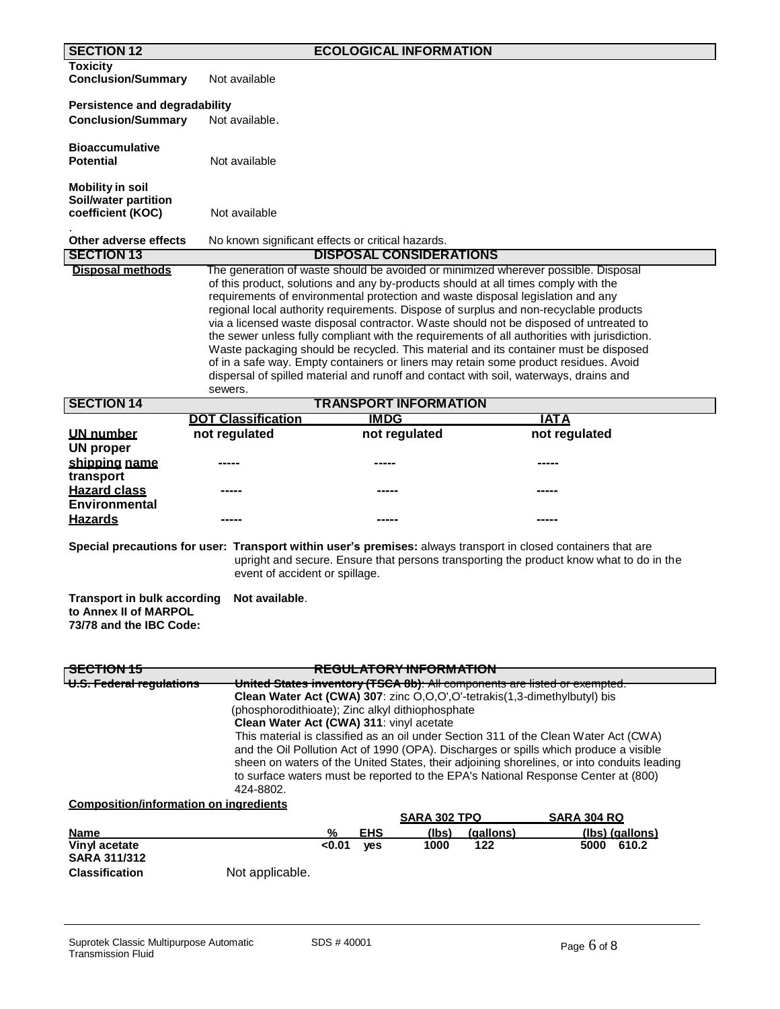| <b>SECTION 12</b>                                                                      |                                                                                                                                                                                                                                                                                                                                                                                                                                                                                                                                                                                                                                                                                                                                                                                                                                    |             | <b>ECOLOGICAL INFORMATION</b>     |           |                                                                                                                                                                                                                                                                          |
|----------------------------------------------------------------------------------------|------------------------------------------------------------------------------------------------------------------------------------------------------------------------------------------------------------------------------------------------------------------------------------------------------------------------------------------------------------------------------------------------------------------------------------------------------------------------------------------------------------------------------------------------------------------------------------------------------------------------------------------------------------------------------------------------------------------------------------------------------------------------------------------------------------------------------------|-------------|-----------------------------------|-----------|--------------------------------------------------------------------------------------------------------------------------------------------------------------------------------------------------------------------------------------------------------------------------|
| <b>Toxicity</b><br><b>Conclusion/Summary</b>                                           | Not available                                                                                                                                                                                                                                                                                                                                                                                                                                                                                                                                                                                                                                                                                                                                                                                                                      |             |                                   |           |                                                                                                                                                                                                                                                                          |
| Persistence and degradability                                                          |                                                                                                                                                                                                                                                                                                                                                                                                                                                                                                                                                                                                                                                                                                                                                                                                                                    |             |                                   |           |                                                                                                                                                                                                                                                                          |
| <b>Conclusion/Summary</b>                                                              | Not available.                                                                                                                                                                                                                                                                                                                                                                                                                                                                                                                                                                                                                                                                                                                                                                                                                     |             |                                   |           |                                                                                                                                                                                                                                                                          |
| <b>Bioaccumulative</b><br><b>Potential</b>                                             | Not available                                                                                                                                                                                                                                                                                                                                                                                                                                                                                                                                                                                                                                                                                                                                                                                                                      |             |                                   |           |                                                                                                                                                                                                                                                                          |
| <b>Mobility in soil</b><br>Soil/water partition<br>coefficient (KOC)                   | Not available                                                                                                                                                                                                                                                                                                                                                                                                                                                                                                                                                                                                                                                                                                                                                                                                                      |             |                                   |           |                                                                                                                                                                                                                                                                          |
| Other adverse effects<br><b>SECTION 13</b>                                             | No known significant effects or critical hazards.                                                                                                                                                                                                                                                                                                                                                                                                                                                                                                                                                                                                                                                                                                                                                                                  |             |                                   |           |                                                                                                                                                                                                                                                                          |
| <b>Disposal methods</b>                                                                |                                                                                                                                                                                                                                                                                                                                                                                                                                                                                                                                                                                                                                                                                                                                                                                                                                    |             | <b>DISPOSAL CONSIDERATIONS</b>    |           |                                                                                                                                                                                                                                                                          |
|                                                                                        | The generation of waste should be avoided or minimized wherever possible. Disposal<br>of this product, solutions and any by-products should at all times comply with the<br>requirements of environmental protection and waste disposal legislation and any<br>regional local authority requirements. Dispose of surplus and non-recyclable products<br>via a licensed waste disposal contractor. Waste should not be disposed of untreated to<br>the sewer unless fully compliant with the requirements of all authorities with jurisdiction.<br>Waste packaging should be recycled. This material and its container must be disposed<br>of in a safe way. Empty containers or liners may retain some product residues. Avoid<br>dispersal of spilled material and runoff and contact with soil, waterways, drains and<br>sewers. |             |                                   |           |                                                                                                                                                                                                                                                                          |
| <b>SECTION 14</b>                                                                      |                                                                                                                                                                                                                                                                                                                                                                                                                                                                                                                                                                                                                                                                                                                                                                                                                                    |             | <b>TRANSPORT INFORMATION</b>      |           |                                                                                                                                                                                                                                                                          |
|                                                                                        | <b>DOT Classification</b>                                                                                                                                                                                                                                                                                                                                                                                                                                                                                                                                                                                                                                                                                                                                                                                                          | <b>IMDG</b> |                                   |           | <u>IATA</u>                                                                                                                                                                                                                                                              |
| <b>UN number</b><br><b>UN proper</b>                                                   | not regulated                                                                                                                                                                                                                                                                                                                                                                                                                                                                                                                                                                                                                                                                                                                                                                                                                      |             | not regulated                     |           | not regulated                                                                                                                                                                                                                                                            |
| shipping name<br>transport                                                             |                                                                                                                                                                                                                                                                                                                                                                                                                                                                                                                                                                                                                                                                                                                                                                                                                                    |             |                                   |           |                                                                                                                                                                                                                                                                          |
| <b>Hazard class</b><br><b>Environmental</b>                                            |                                                                                                                                                                                                                                                                                                                                                                                                                                                                                                                                                                                                                                                                                                                                                                                                                                    |             |                                   |           |                                                                                                                                                                                                                                                                          |
| <b>Hazards</b>                                                                         |                                                                                                                                                                                                                                                                                                                                                                                                                                                                                                                                                                                                                                                                                                                                                                                                                                    | -----       |                                   |           | -----                                                                                                                                                                                                                                                                    |
|                                                                                        | Special precautions for user: Transport within user's premises: always transport in closed containers that are<br>event of accident or spillage.                                                                                                                                                                                                                                                                                                                                                                                                                                                                                                                                                                                                                                                                                   |             |                                   |           | upright and secure. Ensure that persons transporting the product know what to do in the                                                                                                                                                                                  |
| <b>Transport in bulk according</b><br>to Annex II of MARPOL<br>73/78 and the IBC Code: | Not available.                                                                                                                                                                                                                                                                                                                                                                                                                                                                                                                                                                                                                                                                                                                                                                                                                     |             |                                   |           |                                                                                                                                                                                                                                                                          |
| <del>SECTION 15</del>                                                                  |                                                                                                                                                                                                                                                                                                                                                                                                                                                                                                                                                                                                                                                                                                                                                                                                                                    |             | <del>REGULATORY INFORMATION</del> |           |                                                                                                                                                                                                                                                                          |
| <del>U.S. Federal regulations</del>                                                    | United States inventory (TSCA 8b): All components are listed or exempted.                                                                                                                                                                                                                                                                                                                                                                                                                                                                                                                                                                                                                                                                                                                                                          |             |                                   |           |                                                                                                                                                                                                                                                                          |
|                                                                                        | Clean Water Act (CWA) 307: zinc O,O,O',O'-tetrakis(1,3-dimethylbutyl) bis<br>(phosphorodithioate); Zinc alkyl dithiophosphate<br>Clean Water Act (CWA) 311: vinyl acetate                                                                                                                                                                                                                                                                                                                                                                                                                                                                                                                                                                                                                                                          |             |                                   |           | This material is classified as an oil under Section 311 of the Clean Water Act (CWA)                                                                                                                                                                                     |
|                                                                                        | 424-8802.                                                                                                                                                                                                                                                                                                                                                                                                                                                                                                                                                                                                                                                                                                                                                                                                                          |             |                                   |           | and the Oil Pollution Act of 1990 (OPA). Discharges or spills which produce a visible<br>sheen on waters of the United States, their adjoining shorelines, or into conduits leading<br>to surface waters must be reported to the EPA's National Response Center at (800) |
| <b>Composition/information on ingredients</b>                                          |                                                                                                                                                                                                                                                                                                                                                                                                                                                                                                                                                                                                                                                                                                                                                                                                                                    |             | <u>SARA 302 TPQ</u>               |           | <b>SARA 304 RQ</b>                                                                                                                                                                                                                                                       |
| <u>Name</u>                                                                            | ℅                                                                                                                                                                                                                                                                                                                                                                                                                                                                                                                                                                                                                                                                                                                                                                                                                                  | <b>EHS</b>  | (lbs)                             | (gallons) | (Ibs) (gallons)                                                                                                                                                                                                                                                          |
| Vinyl acetate<br><b>SARA 311/312</b>                                                   | <0.01                                                                                                                                                                                                                                                                                                                                                                                                                                                                                                                                                                                                                                                                                                                                                                                                                              | yes         | 1000                              | 122       | 5000<br>610.2                                                                                                                                                                                                                                                            |
| <b>Classification</b>                                                                  | Not applicable.                                                                                                                                                                                                                                                                                                                                                                                                                                                                                                                                                                                                                                                                                                                                                                                                                    |             |                                   |           |                                                                                                                                                                                                                                                                          |
|                                                                                        |                                                                                                                                                                                                                                                                                                                                                                                                                                                                                                                                                                                                                                                                                                                                                                                                                                    |             |                                   |           |                                                                                                                                                                                                                                                                          |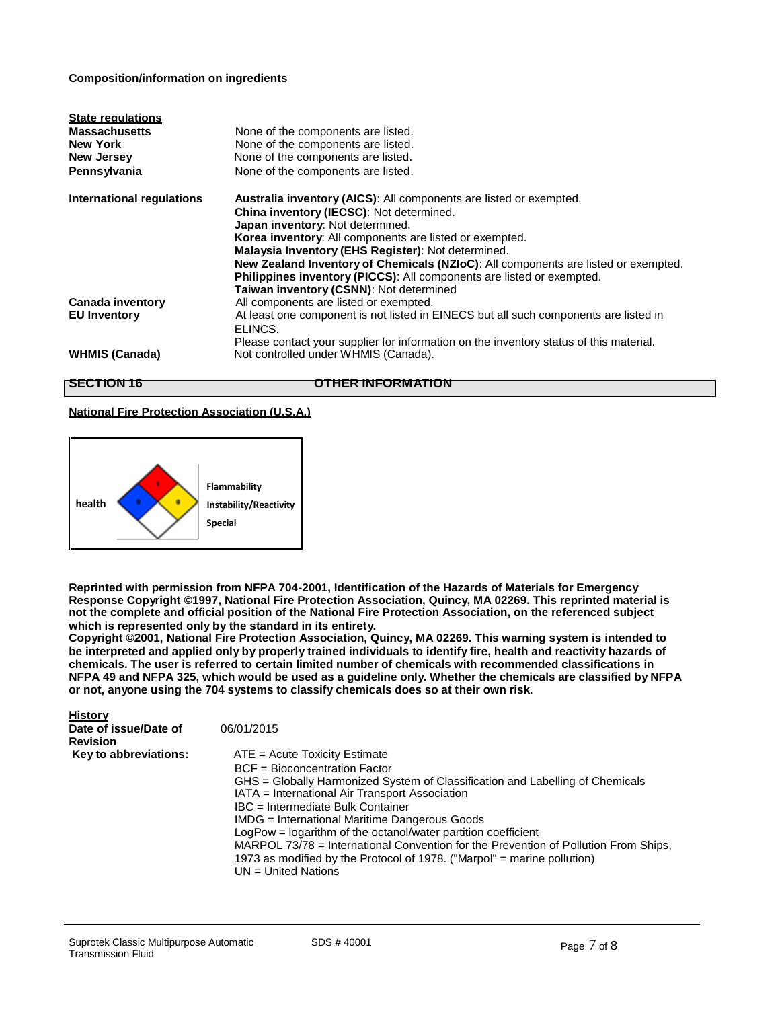## **Composition/information on ingredients**

| <b>State regulations</b><br><b>Massachusetts</b><br><b>New York</b><br><b>New Jersey</b><br>Pennsylvania | None of the components are listed.<br>None of the components are listed.<br>None of the components are listed.<br>None of the components are listed.                                                                                                                                                                                                                                                                                                                                 |
|----------------------------------------------------------------------------------------------------------|--------------------------------------------------------------------------------------------------------------------------------------------------------------------------------------------------------------------------------------------------------------------------------------------------------------------------------------------------------------------------------------------------------------------------------------------------------------------------------------|
| International regulations                                                                                | <b>Australia inventory (AICS):</b> All components are listed or exempted.<br>China inventory (IECSC): Not determined.<br>Japan inventory: Not determined.<br>Korea inventory: All components are listed or exempted.<br>Malaysia Inventory (EHS Register): Not determined.<br>New Zealand Inventory of Chemicals (NZIoC): All components are listed or exempted.<br>Philippines inventory (PICCS): All components are listed or exempted.<br>Taiwan inventory (CSNN): Not determined |
| Canada inventory<br><b>EU Inventory</b>                                                                  | All components are listed or exempted.<br>At least one component is not listed in EINECS but all such components are listed in                                                                                                                                                                                                                                                                                                                                                       |
| <b>WHMIS (Canada)</b>                                                                                    | ELINCS.<br>Please contact your supplier for information on the inventory status of this material.<br>Not controlled under WHMIS (Canada).                                                                                                                                                                                                                                                                                                                                            |

**History**

**SECTION 16 OTHER INFORMATION**

## **National Fire Protection Association (U.S.A.)**



**Reprinted with permission from NFPA 704-2001, Identification of the Hazards of Materials for Emergency Response Copyright ©1997, National Fire Protection Association, Quincy, MA 02269. This reprinted material is not the complete and official position of the National Fire Protection Association, on the referenced subject which is represented only by the standard in its entirety.**

**Copyright ©2001, National Fire Protection Association, Quincy, MA 02269. This warning system is intended to** be interpreted and applied only by properly trained individuals to identify fire, health and reactivity hazards of **chemicals. The user is referred to certain limited number of chemicals with recommended classifications in**  NFPA 49 and NFPA 325, which would be used as a guideline only. Whether the chemicals are classified by NFPA **or not, anyone using the 704 systems to classify chemicals does so at their own risk.**

| <b>History</b>        |                                                                                                                                                                                       |
|-----------------------|---------------------------------------------------------------------------------------------------------------------------------------------------------------------------------------|
| Date of issue/Date of | 06/01/2015                                                                                                                                                                            |
| <b>Revision</b>       |                                                                                                                                                                                       |
| Key to abbreviations: | $ATE = Acute Toxicity Estimate$                                                                                                                                                       |
|                       | BCF = Bioconcentration Factor                                                                                                                                                         |
|                       | GHS = Globally Harmonized System of Classification and Labelling of Chemicals                                                                                                         |
|                       | IATA = International Air Transport Association                                                                                                                                        |
|                       | IBC = Intermediate Bulk Container                                                                                                                                                     |
|                       | IMDG = International Maritime Dangerous Goods                                                                                                                                         |
|                       | LogPow = logarithm of the octanol/water partition coefficient                                                                                                                         |
|                       | MARPOL 73/78 = International Convention for the Prevention of Pollution From Ships,<br>1973 as modified by the Protocol of 1978. ("Marpol" = marine pollution)<br>UN = United Nations |
|                       |                                                                                                                                                                                       |